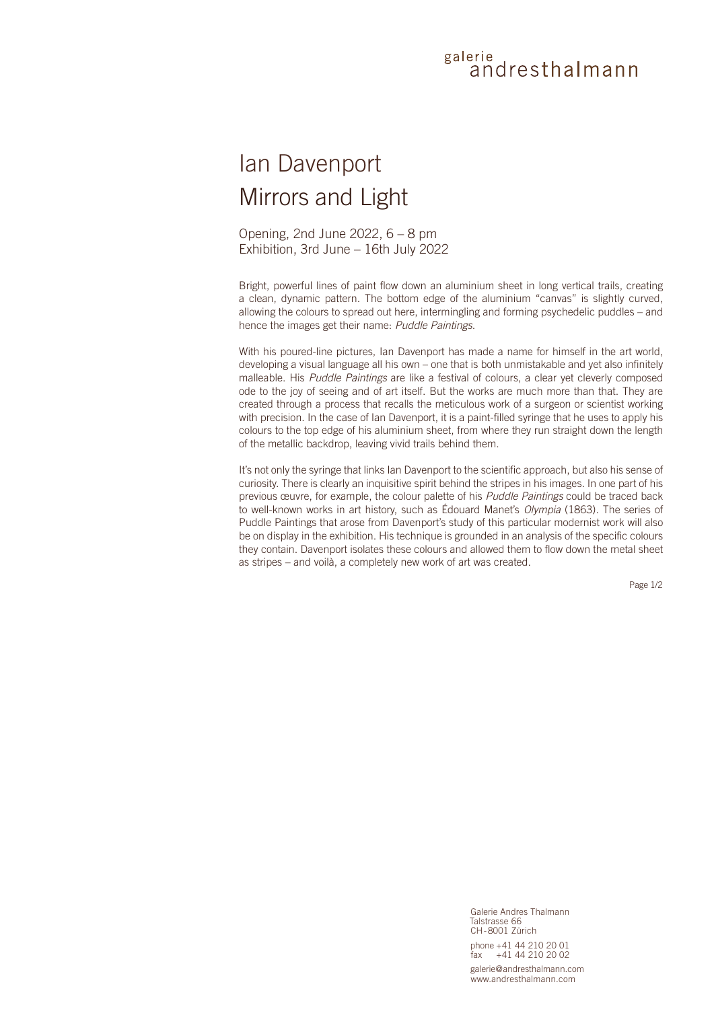## galerie andresthalmann

## Ian Davenport Mirrors and Light

Opening, 2nd June 2022, 6 – 8 pm Exhibition, 3rd June – 16th July 2022

Bright, powerful lines of paint flow down an aluminium sheet in long vertical trails, creating a clean, dynamic pattern. The bottom edge of the aluminium "canvas" is slightly curved, allowing the colours to spread out here, intermingling and forming psychedelic puddles – and hence the images get their name: *Puddle Paintings*.

With his poured-line pictures, Ian Davenport has made a name for himself in the art world, developing a visual language all his own – one that is both unmistakable and yet also infinitely malleable. His *Puddle Paintings* are like a festival of colours, a clear yet cleverly composed ode to the joy of seeing and of art itself. But the works are much more than that. They are created through a process that recalls the meticulous work of a surgeon or scientist working with precision. In the case of Ian Davenport, it is a paint-filled syringe that he uses to apply his colours to the top edge of his aluminium sheet, from where they run straight down the length of the metallic backdrop, leaving vivid trails behind them.

It's not only the syringe that links Ian Davenport to the scientific approach, but also his sense of curiosity. There is clearly an inquisitive spirit behind the stripes in his images. In one part of his previous œuvre, for example, the colour palette of his *Puddle Paintings* could be traced back to well-known works in art history, such as Édouard Manet's *Olympia* (1863). The series of Puddle Paintings that arose from Davenport's study of this particular modernist work will also be on display in the exhibition. His technique is grounded in an analysis of the specific colours they contain. Davenport isolates these colours and allowed them to flow down the metal sheet as stripes – and voilà, a completely new work of art was created.

Page 1/2

Galerie Andres Thalmann Talstrasse 66 CH-8001 Zürich phone +41 44 210 20 01  $+41$  44 210 20 02 galerie@andresthalmann.com www.andresthalmann.com